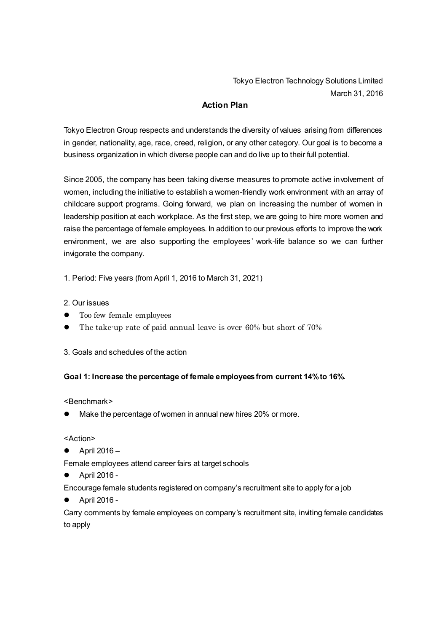Tokyo Electron Technology Solutions Limited March 31, 2016

## **Action Plan**

Tokyo Electron Group respects and understands the diversity of values arising from differences in gender, nationality, age, race, creed, religion, or any other category. Our goal is to become a business organization in which diverse people can and do live up to their full potential.

Since 2005, the company has been taking diverse measures to promote active involvement of women, including the initiative to establish a women-friendly work environment with an array of childcare support programs. Going forward, we plan on increasing the number of women in leadership position at each workplace. As the first step, we are going to hire more women and raise the percentage of female employees. In addition to our previous efforts to improve the work environment, we are also supporting the employees' work-life balance so we can further invigorate the company.

1. Period: Five years (from April 1, 2016 to March 31, 2021)

## 2. Our issues

- Too few female employees
- The take-up rate of paid annual leave is over 60% but short of 70%
- 3. Goals and schedules of the action

## **Goal 1: Increase the percentage of female employees from current 14% to 16%.**

<Benchmark>

Make the percentage of women in annual new hires 20% or more.

<Action>

April 2016 –

Female employees attend career fairs at target schools

April 2016 -

Encourage female students registered on company's recruitment site to apply for a job

April 2016 -

Carry comments by female employees on company's recruitment site, inviting female candidates to apply